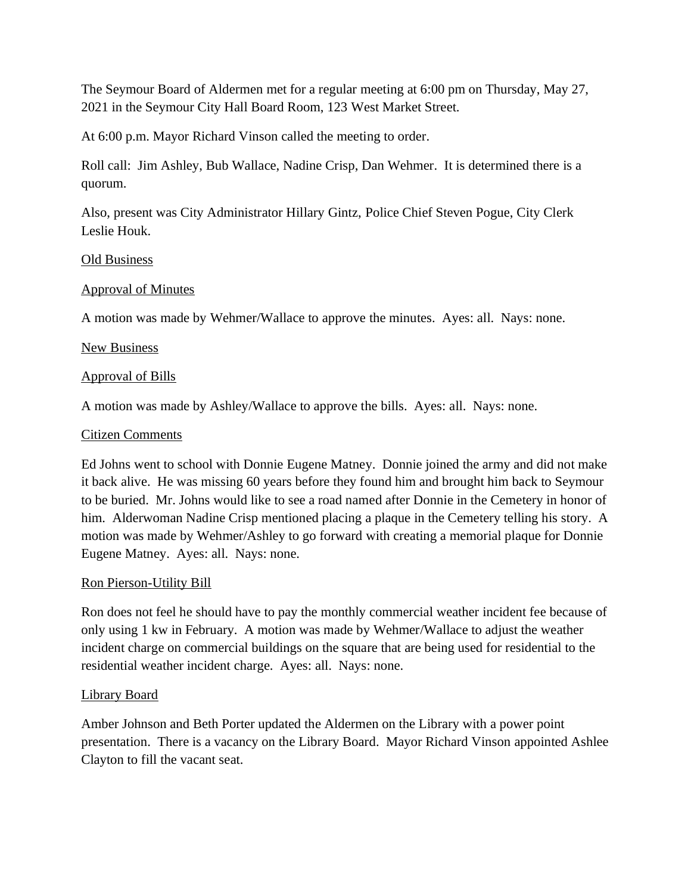The Seymour Board of Aldermen met for a regular meeting at 6:00 pm on Thursday, May 27, 2021 in the Seymour City Hall Board Room, 123 West Market Street.

At 6:00 p.m. Mayor Richard Vinson called the meeting to order.

Roll call: Jim Ashley, Bub Wallace, Nadine Crisp, Dan Wehmer. It is determined there is a quorum.

Also, present was City Administrator Hillary Gintz, Police Chief Steven Pogue, City Clerk Leslie Houk.

#### Old Business

## Approval of Minutes

A motion was made by Wehmer/Wallace to approve the minutes. Ayes: all. Nays: none.

#### New Business

## Approval of Bills

A motion was made by Ashley/Wallace to approve the bills. Ayes: all. Nays: none.

#### Citizen Comments

Ed Johns went to school with Donnie Eugene Matney. Donnie joined the army and did not make it back alive. He was missing 60 years before they found him and brought him back to Seymour to be buried. Mr. Johns would like to see a road named after Donnie in the Cemetery in honor of him. Alderwoman Nadine Crisp mentioned placing a plaque in the Cemetery telling his story. A motion was made by Wehmer/Ashley to go forward with creating a memorial plaque for Donnie Eugene Matney. Ayes: all. Nays: none.

#### Ron Pierson-Utility Bill

Ron does not feel he should have to pay the monthly commercial weather incident fee because of only using 1 kw in February. A motion was made by Wehmer/Wallace to adjust the weather incident charge on commercial buildings on the square that are being used for residential to the residential weather incident charge. Ayes: all. Nays: none.

#### Library Board

Amber Johnson and Beth Porter updated the Aldermen on the Library with a power point presentation. There is a vacancy on the Library Board. Mayor Richard Vinson appointed Ashlee Clayton to fill the vacant seat.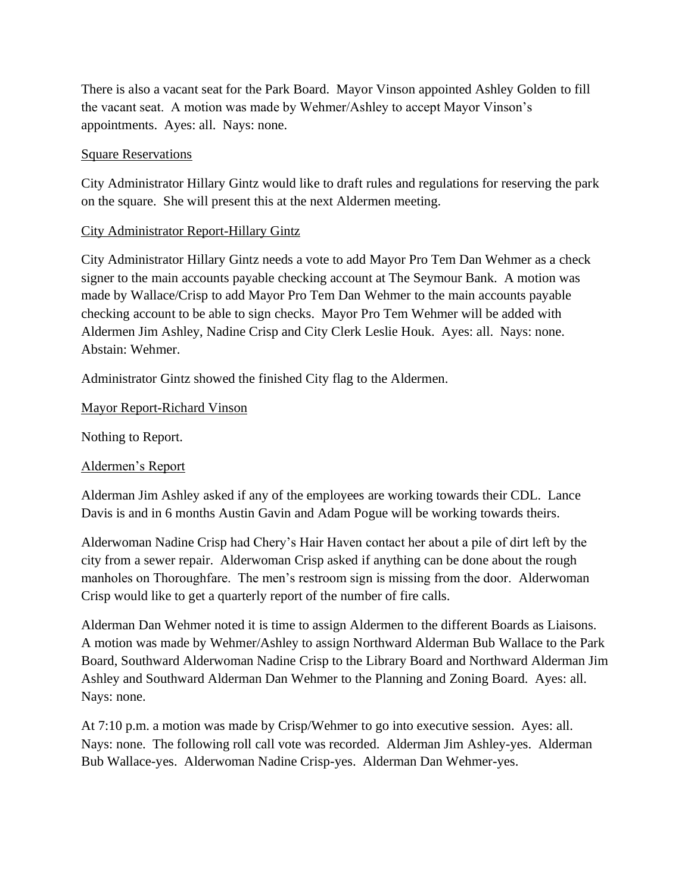There is also a vacant seat for the Park Board. Mayor Vinson appointed Ashley Golden to fill the vacant seat. A motion was made by Wehmer/Ashley to accept Mayor Vinson's appointments. Ayes: all. Nays: none.

# Square Reservations

City Administrator Hillary Gintz would like to draft rules and regulations for reserving the park on the square. She will present this at the next Aldermen meeting.

# City Administrator Report-Hillary Gintz

City Administrator Hillary Gintz needs a vote to add Mayor Pro Tem Dan Wehmer as a check signer to the main accounts payable checking account at The Seymour Bank. A motion was made by Wallace/Crisp to add Mayor Pro Tem Dan Wehmer to the main accounts payable checking account to be able to sign checks. Mayor Pro Tem Wehmer will be added with Aldermen Jim Ashley, Nadine Crisp and City Clerk Leslie Houk. Ayes: all. Nays: none. Abstain: Wehmer.

Administrator Gintz showed the finished City flag to the Aldermen.

Mayor Report-Richard Vinson

Nothing to Report.

#### Aldermen's Report

Alderman Jim Ashley asked if any of the employees are working towards their CDL. Lance Davis is and in 6 months Austin Gavin and Adam Pogue will be working towards theirs.

Alderwoman Nadine Crisp had Chery's Hair Haven contact her about a pile of dirt left by the city from a sewer repair. Alderwoman Crisp asked if anything can be done about the rough manholes on Thoroughfare. The men's restroom sign is missing from the door. Alderwoman Crisp would like to get a quarterly report of the number of fire calls.

Alderman Dan Wehmer noted it is time to assign Aldermen to the different Boards as Liaisons. A motion was made by Wehmer/Ashley to assign Northward Alderman Bub Wallace to the Park Board, Southward Alderwoman Nadine Crisp to the Library Board and Northward Alderman Jim Ashley and Southward Alderman Dan Wehmer to the Planning and Zoning Board. Ayes: all. Nays: none.

At 7:10 p.m. a motion was made by Crisp/Wehmer to go into executive session. Ayes: all. Nays: none. The following roll call vote was recorded. Alderman Jim Ashley-yes. Alderman Bub Wallace-yes. Alderwoman Nadine Crisp-yes. Alderman Dan Wehmer-yes.